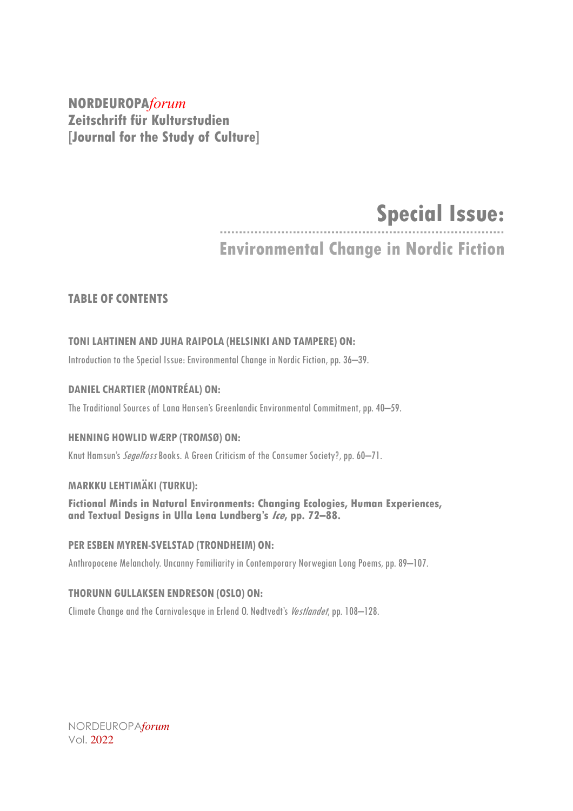## **NORDEUROPA***forum* **Zeitschrift für Kulturstudien [Journal for the Study of Culture]**

# **Special Issue:**

## **Environmental Change in Nordic Fiction**

## **TABLE OF CONTENTS**

## **TONILAHTINEN AND JUHA RAIPOLA (HELSINKI AND TAMPERE) ON:**

Introduction to the Special Issue: Environmental Change in Nordic Fiction, pp. 36–39.

## **DANIEL CHARTIER (MONTRÉAL) ON:**

The Traditional Sources of Lana Hansen's Greenlandic Environmental Commitment, pp. 40–59.

## **HENNING HOWLID WÆRP (TROMSØ) ON:**

Knut Hamsun's *Segelfoss* Books. A Green Criticism of the Consumer Society?, pp. 60-71.

## **MARKKU LEHTIMÄKI (TURKU):**

**Fictional Minds in Natural Environments: Changing Ecologies, Human Experiences, and Textual Designs in Ulla Lena Lundberg's Ice, pp. 72–88.**

## **PER ESBEN MYREN-SVELSTAD (TRONDHEIM) ON:**

Anthropocene Melancholy. Uncanny Familiarity in Contemporary Norwegian Long Poems, pp. 89-107.

#### **THORUNN GULLAKSEN ENDRESON (OSLO) ON:**

Climate Change and the Carnivalesque in Erlend O. Nødtvedt's *Vestlandet*, pp. 108–128.

NORDEUROPA*forum* Vol. 2022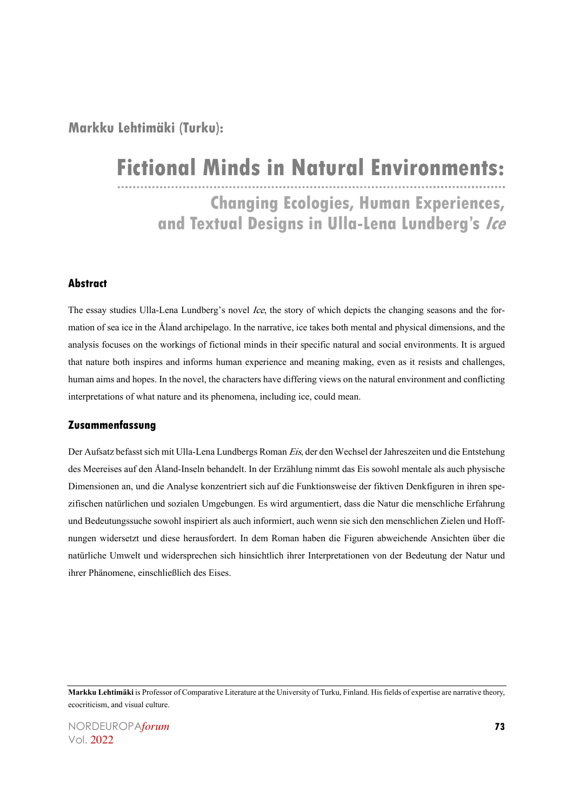**Markku Lehtimäki (Turku):**

## **Fictional Minds in Natural Environments:**

**Changing Ecologies, Human Experiences, and Textual Designs in Ulla-Lena Lundberg's Ice**

#### **Abstract**

The essay studies Ulla-Lena Lundberg's novel Ice, the story of which depicts the changing seasons and the formation of sea ice in the Åland archipelago. In the narrative, ice takes both mental and physical dimensions, and the analysis focuses on the workings of fictional minds in their specific natural and social environments. It is argued that nature both inspires and informs human experience and meaning making, even as it resists and challenges, human aims and hopes. In the novel, the characters have differing views on the natural environment and conflicting interpretations of what nature and its phenomena, including ice, could mean.

#### **Zusammenfassung**

Der Aufsatz befasst sich mit Ulla-Lena Lundbergs Roman Eis, der den Wechsel der Jahreszeiten und die Entstehung des Meereises auf den Åland-Inseln behandelt. In der Erzählung nimmt das Eis sowohl mentale als auch physische Dimensionen an, und die Analyse konzentriert sich auf die Funktionsweise der fiktiven Denkfiguren in ihren spezifischen natürlichen und sozialen Umgebungen. Es wird argumentiert, dass die Natur die menschliche Erfahrung und Bedeutungssuche sowohl inspiriert als auch informiert, auch wenn sie sich den menschlichen Zielen und Hoffnungen widersetzt und diese herausfordert. In dem Roman haben die Figuren abweichende Ansichten über die natürliche Umwelt und widersprechen sich hinsichtlich ihrer Interpretationen von der Bedeutung der Natur und ihrer Phänomene, einschließlich des Eises.

**Markku Lehtimäki** is Professor of Comparative Literature at the University of Turku, Finland. His fields of expertise are narrative theory, ecocriticism, and visual culture.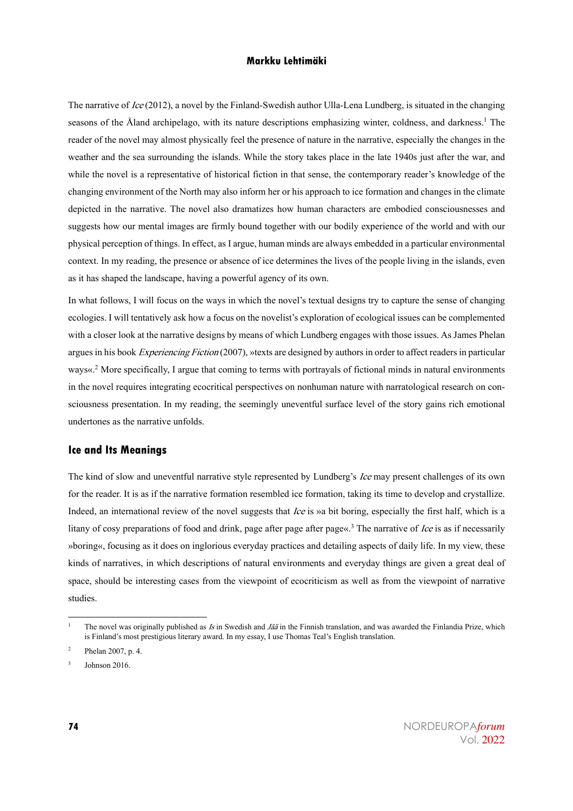The narrative of Ice (2012), a novel by the Finland-Swedish author Ulla-Lena Lundberg, is situated in the changing seasons of the Åland archipelago, with its nature descriptions emphasizing winter, coldness, and darkness.<sup>1</sup> The reader of the novel may almost physically feel the presence of nature in the narrative, especially the changes in the weather and the sea surrounding the islands. While the story takes place in the late 1940s just after the war, and while the novel is a representative of historical fiction in that sense, the contemporary reader's knowledge of the changing environment of the North may also inform her or his approach to ice formation and changes in the climate depicted in the narrative. The novel also dramatizes how human characters are embodied consciousnesses and suggests how our mental images are firmly bound together with our bodily experience of the world and with our physical perception of things. In effect, as I argue, human minds are always embedded in a particular environmental context. In my reading, the presence or absence of ice determines the lives of the people living in the islands, even as it has shaped the landscape, having a powerful agency of its own.

In what follows, I will focus on the ways in which the novel's textual designs try to capture the sense of changing ecologies. I will tentatively ask how a focus on the novelist's exploration of ecological issues can be complemented with a closer look at the narrative designs by means of which Lundberg engages with those issues. As James Phelan argues in his book *Experiencing Fiction* (2007), »texts are designed by authors in order to affect readers in particular ways«.<sup>2</sup> More specifically, I argue that coming to terms with portrayals of fictional minds in natural environments in the novel requires integrating ecocritical perspectives on nonhuman nature with narratological research on consciousness presentation. In my reading, the seemingly uneventful surface level of the story gains rich emotional undertones as the narrative unfolds.

#### **Ice and Its Meanings**

The kind of slow and uneventful narrative style represented by Lundberg's Ice may present challenges of its own for the reader. It is as if the narrative formation resembled ice formation, taking its time to develop and crystallize. Indeed, an international review of the novel suggests that *Ice* is »a bit boring, especially the first half, which is a litany of cosy preparations of food and drink, page after page after page«.<sup>3</sup> The narrative of *Ice* is as if necessarily »boring«, focusing as it does on inglorious everyday practices and detailing aspects of daily life. In my view, these kinds of narratives, in which descriptions of natural environments and everyday things are given a great deal of space, should be interesting cases from the viewpoint of ecocriticism as well as from the viewpoint of narrative studies.

The novel was originally published as  $Is$  in Swedish and  $Jää$  in the Finnish translation, and was awarded the Finlandia Prize, which is Finland's most prestigious literary award. In my essay, I use Thomas Teal's English translation.

<sup>2</sup> Phelan 2007, p. 4.

<sup>3</sup> Johnson 2016.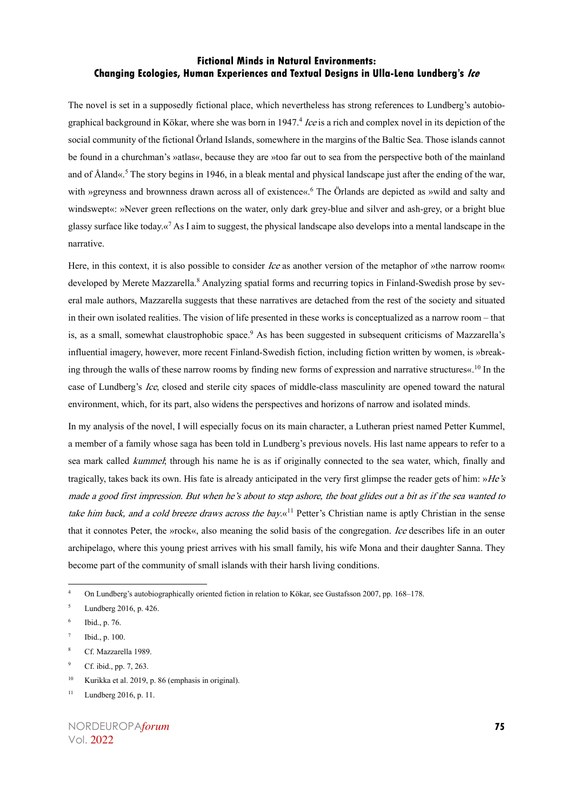The novel is set in a supposedly fictional place, which nevertheless has strong references to Lundberg's autobiographical background in Kökar, where she was born in 1947.<sup>4</sup> *Ice* is a rich and complex novel in its depiction of the social community of the fictional Örland Islands, somewhere in the margins of the Baltic Sea. Those islands cannot be found in a churchman's »atlas«, because they are »too far out to sea from the perspective both of the mainland and of Åland«. <sup>5</sup> The story begins in 1946, in a bleak mental and physical landscape just after the ending of the war, with »greyness and brownness drawn across all of existence«. <sup>6</sup> The Örlands are depicted as »wild and salty and windswept«: »Never green reflections on the water, only dark grey-blue and silver and ash-grey, or a bright blue glassy surface like today. $\alpha^7$  As I aim to suggest, the physical landscape also develops into a mental landscape in the narrative.

Here, in this context, it is also possible to consider *Ice* as another version of the metaphor of »the narrow room« developed by Merete Mazzarella.<sup>8</sup> Analyzing spatial forms and recurring topics in Finland-Swedish prose by several male authors, Mazzarella suggests that these narratives are detached from the rest of the society and situated in their own isolated realities. The vision of life presented in these works is conceptualized as a narrow room – that is, as a small, somewhat claustrophobic space.<sup>9</sup> As has been suggested in subsequent criticisms of Mazzarella's influential imagery, however, more recent Finland-Swedish fiction, including fiction written by women, is »breaking through the walls of these narrow rooms by finding new forms of expression and narrative structures«. <sup>10</sup> In the case of Lundberg's Ice, closed and sterile city spaces of middle-class masculinity are opened toward the natural environment, which, for its part, also widens the perspectives and horizons of narrow and isolated minds.

In my analysis of the novel, I will especially focus on its main character, a Lutheran priest named Petter Kummel, a member of a family whose saga has been told in Lundberg's previous novels. His last name appears to refer to a sea mark called *kummel*; through his name he is as if originally connected to the sea water, which, finally and tragically, takes back its own. His fate is already anticipated in the very first glimpse the reader gets of him:  $H e's$ made a good first impression. But when he's about to step ashore, the boat glides out a bit as if the sea wanted to take him back, and a cold breeze draws across the bay. $\kappa^{11}$  Petter's Christian name is aptly Christian in the sense that it connotes Peter, the »rock«, also meaning the solid basis of the congregation. Ice describes life in an outer archipelago, where this young priest arrives with his small family, his wife Mona and their daughter Sanna. They become part of the community of small islands with their harsh living conditions.

Cf. Mazzarella 1989.

<sup>10</sup> Kurikka et al. 2019, p. 86 (emphasis in original).

<sup>4</sup> On Lundberg's autobiographically oriented fiction in relation to Kökar, see Gustafsson 2007, pp. 168–178.

<sup>5</sup> Lundberg 2016, p. 426.

<sup>6</sup> Ibid., p. 76.

Ibid., p. 100.

Cf. ibid., pp. 7, 263.

 $11$  Lundberg 2016, p. 11.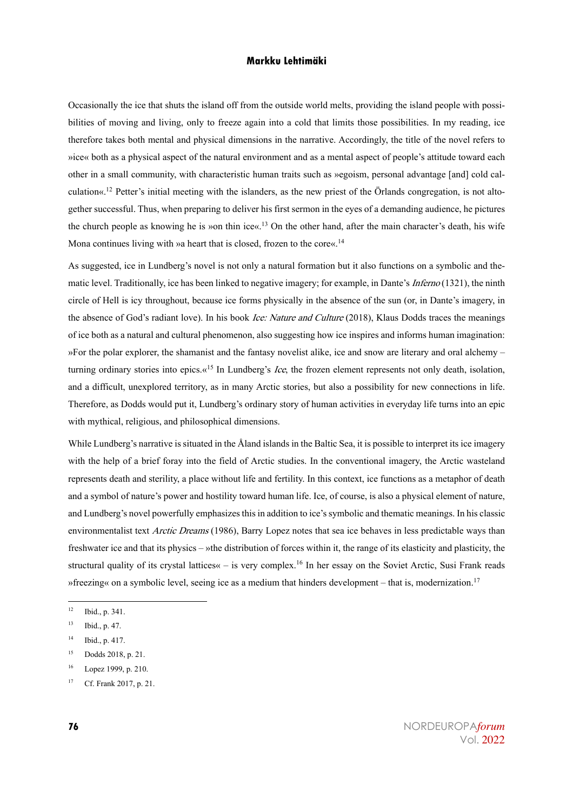Occasionally the ice that shuts the island off from the outside world melts, providing the island people with possibilities of moving and living, only to freeze again into a cold that limits those possibilities. In my reading, ice therefore takes both mental and physical dimensions in the narrative. Accordingly, the title of the novel refers to »ice« both as a physical aspect of the natural environment and as a mental aspect of people's attitude toward each other in a small community, with characteristic human traits such as »egoism, personal advantage [and] cold calculation«. <sup>12</sup> Petter's initial meeting with the islanders, as the new priest of the Örlands congregation, is not altogether successful. Thus, when preparing to deliver his first sermon in the eyes of a demanding audience, he pictures the church people as knowing he is »on thin ice«.<sup>13</sup> On the other hand, after the main character's death, his wife Mona continues living with »a heart that is closed, frozen to the core«.<sup>14</sup>

As suggested, ice in Lundberg's novel is not only a natural formation but it also functions on a symbolic and thematic level. Traditionally, ice has been linked to negative imagery; for example, in Dante's *Inferno* (1321), the ninth circle of Hell is icy throughout, because ice forms physically in the absence of the sun (or, in Dante's imagery, in the absence of God's radiant love). In his book *Ice: Nature and Culture* (2018), Klaus Dodds traces the meanings of ice both as a natural and cultural phenomenon, also suggesting how ice inspires and informs human imagination: »For the polar explorer, the shamanist and the fantasy novelist alike, ice and snow are literary and oral alchemy – turning ordinary stories into epics. $\alpha^{15}$  In Lundberg's *Ice*, the frozen element represents not only death, isolation, and a difficult, unexplored territory, as in many Arctic stories, but also a possibility for new connections in life. Therefore, as Dodds would put it, Lundberg's ordinary story of human activities in everyday life turns into an epic with mythical, religious, and philosophical dimensions.

While Lundberg's narrative is situated in the Åland islands in the Baltic Sea, it is possible to interpret its ice imagery with the help of a brief foray into the field of Arctic studies. In the conventional imagery, the Arctic wasteland represents death and sterility, a place without life and fertility. In this context, ice functions as a metaphor of death and a symbol of nature's power and hostility toward human life. Ice, of course, is also a physical element of nature, and Lundberg's novel powerfully emphasizes this in addition to ice's symbolic and thematic meanings. In his classic environmentalist text Arctic Dreams (1986), Barry Lopez notes that sea ice behaves in less predictable ways than freshwater ice and that its physics – »the distribution of forces within it, the range of its elasticity and plasticity, the structural quality of its crystal lattices« – is very complex.<sup>16</sup> In her essay on the Soviet Arctic, Susi Frank reads »freezing« on a symbolic level, seeing ice as a medium that hinders development – that is, modernization.<sup>17</sup>

<sup>12</sup> Ibid., p. 341.

<sup>13</sup> Ibid., p. 47.

<sup>14</sup> Ibid., p. 417.

<sup>15</sup> Dodds 2018, p. 21.

<sup>16</sup> Lopez 1999, p. 210.

<sup>17</sup> Cf. Frank 2017, p. 21.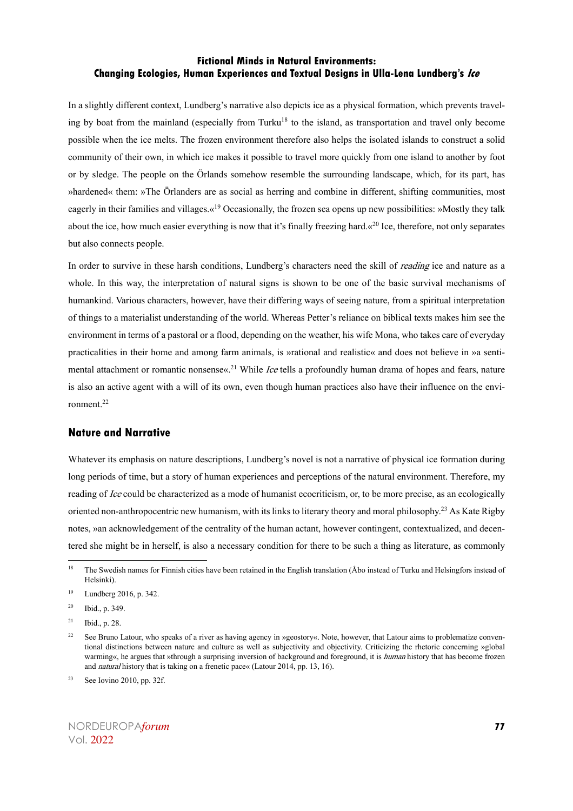In a slightly different context, Lundberg's narrative also depicts ice as a physical formation, which prevents traveling by boat from the mainland (especially from Turku<sup>18</sup> to the island, as transportation and travel only become possible when the ice melts. The frozen environment therefore also helps the isolated islands to construct a solid community of their own, in which ice makes it possible to travel more quickly from one island to another by foot or by sledge. The people on the Örlands somehow resemble the surrounding landscape, which, for its part, has »hardened« them: »The Örlanders are as social as herring and combine in different, shifting communities, most eagerly in their families and villages. $\alpha^{19}$  Occasionally, the frozen sea opens up new possibilities: »Mostly they talk about the ice, how much easier everything is now that it's finally freezing hard. $\alpha^{20}$  Ice, therefore, not only separates but also connects people.

In order to survive in these harsh conditions, Lundberg's characters need the skill of *reading* ice and nature as a whole. In this way, the interpretation of natural signs is shown to be one of the basic survival mechanisms of humankind. Various characters, however, have their differing ways of seeing nature, from a spiritual interpretation of things to a materialist understanding of the world. Whereas Petter's reliance on biblical texts makes him see the environment in terms of a pastoral or a flood, depending on the weather, his wife Mona, who takes care of everyday practicalities in their home and among farm animals, is »rational and realistic« and does not believe in »a sentimental attachment or romantic nonsense«.<sup>21</sup> While *Ice* tells a profoundly human drama of hopes and fears, nature is also an active agent with a will of its own, even though human practices also have their influence on the environment.<sup>22</sup>

#### **Nature and Narrative**

Whatever its emphasis on nature descriptions, Lundberg's novel is not a narrative of physical ice formation during long periods of time, but a story of human experiences and perceptions of the natural environment. Therefore, my reading of Ice could be characterized as a mode of humanist ecocriticism, or, to be more precise, as an ecologically oriented non-anthropocentric new humanism, with its links to literary theory and moral philosophy.<sup>23</sup> As Kate Rigby notes, »an acknowledgement of the centrality of the human actant, however contingent, contextualized, and decentered she might be in herself, is also a necessary condition for there to be such a thing as literature, as commonly

<sup>&</sup>lt;sup>18</sup> The Swedish names for Finnish cities have been retained in the English translation (Åbo instead of Turku and Helsingfors instead of Helsinki).

<sup>19</sup> Lundberg 2016, p. 342.

 $20$  Ibid., p. 349.

 $21$  Ibid., p. 28.

<sup>&</sup>lt;sup>22</sup> See Bruno Latour, who speaks of a river as having agency in »geostory«. Note, however, that Latour aims to problematize conventional distinctions between nature and culture as well as subjectivity and objectivity. Cri warming«, he argues that »through a surprising inversion of background and foreground, it is *human* history that has become frozen and natural history that is taking on a frenetic pace« (Latour 2014, pp. 13, 16).

<sup>&</sup>lt;sup>23</sup> See Iovino 2010, pp. 32f.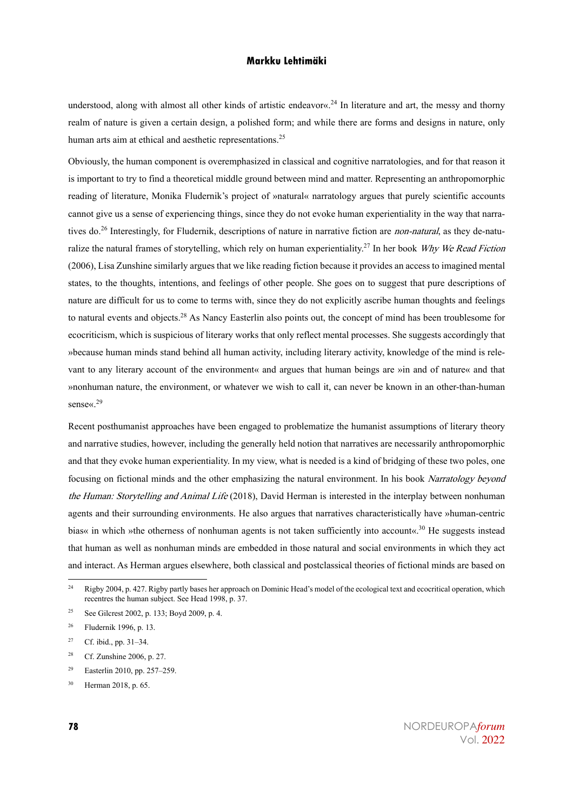understood, along with almost all other kinds of artistic endeavor«. <sup>24</sup> In literature and art, the messy and thorny realm of nature is given a certain design, a polished form; and while there are forms and designs in nature, only human arts aim at ethical and aesthetic representations.<sup>25</sup>

Obviously, the human component is overemphasized in classical and cognitive narratologies, and for that reason it is important to try to find a theoretical middle ground between mind and matter. Representing an anthropomorphic reading of literature, Monika Fludernik's project of »natural« narratology argues that purely scientific accounts cannot give us a sense of experiencing things, since they do not evoke human experientiality in the way that narratives do.<sup>26</sup> Interestingly, for Fludernik, descriptions of nature in narrative fiction are *non-natural*, as they de-naturalize the natural frames of storytelling, which rely on human experientiality.<sup>27</sup> In her book Why We Read Fiction (2006), Lisa Zunshine similarly argues that we like reading fiction because it provides an access to imagined mental states, to the thoughts, intentions, and feelings of other people. She goes on to suggest that pure descriptions of nature are difficult for us to come to terms with, since they do not explicitly ascribe human thoughts and feelings to natural events and objects.<sup>28</sup> As Nancy Easterlin also points out, the concept of mind has been troublesome for ecocriticism, which is suspicious of literary works that only reflect mental processes. She suggests accordingly that »because human minds stand behind all human activity, including literary activity, knowledge of the mind is relevant to any literary account of the environment« and argues that human beings are »in and of nature« and that »nonhuman nature, the environment, or whatever we wish to call it, can never be known in an other-than-human sense«.<sup>29</sup>

Recent posthumanist approaches have been engaged to problematize the humanist assumptions of literary theory and narrative studies, however, including the generally held notion that narratives are necessarily anthropomorphic and that they evoke human experientiality. In my view, what is needed is a kind of bridging of these two poles, one focusing on fictional minds and the other emphasizing the natural environment. In his book Narratology beyond the Human: Storytelling and Animal Life (2018), David Herman is interested in the interplay between nonhuman agents and their surrounding environments. He also argues that narratives characteristically have »human-centric bias« in which »the otherness of nonhuman agents is not taken sufficiently into account«.<sup>30</sup> He suggests instead that human as well as nonhuman minds are embedded in those natural and social environments in which they act and interact. As Herman argues elsewhere, both classical and postclassical theories of fictional minds are based on

 $24$  Rigby 2004, p. 427. Rigby partly bases her approach on Dominic Head's model of the ecological text and ecocritical operation, which recentres the human subject. See Head 1998, p. 37.

<sup>25</sup> See Gilcrest 2002, p. 133; Boyd 2009, p. 4.

<sup>26</sup> Fludernik 1996, p. 13.

<sup>27</sup> Cf. ibid., pp. 31–34.

<sup>28</sup> Cf. Zunshine 2006, p. 27.

<sup>29</sup> Easterlin 2010, pp. 257–259.

<sup>30</sup> Herman 2018, p. 65.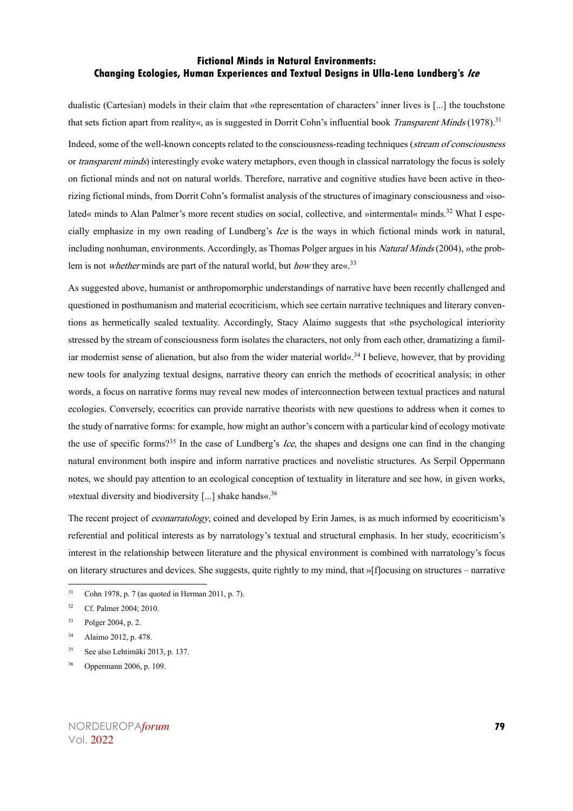dualistic (Cartesian) models in their claim that »the representation of characters' inner lives is [...] the touchstone that sets fiction apart from reality«, as is suggested in Dorrit Cohn's influential book Transparent Minds (1978).<sup>31</sup> Indeed, some of the well-known concepts related to the consciousness-reading techniques (stream of consciousness or *transparent minds*) interestingly evoke watery metaphors, even though in classical narratology the focus is solely on fictional minds and not on natural worlds. Therefore, narrative and cognitive studies have been active in theorizing fictional minds, from Dorrit Cohn's formalist analysis of the structures of imaginary consciousness and »isolated« minds to Alan Palmer's more recent studies on social, collective, and »intermental« minds.<sup>32</sup> What I especially emphasize in my own reading of Lundberg's Ice is the ways in which fictional minds work in natural, including nonhuman, environments. Accordingly, as Thomas Polger argues in his *Natural Minds* (2004), »the problem is not *whether* minds are part of the natural world, but *how* they are  $\ll 33$ 

As suggested above, humanist or anthropomorphic understandings of narrative have been recently challenged and questioned in posthumanism and material ecocriticism, which see certain narrative techniques and literary conventions as hermetically sealed textuality. Accordingly, Stacy Alaimo suggests that »the psychological interiority stressed by the stream of consciousness form isolates the characters, not only from each other, dramatizing a familiar modernist sense of alienation, but also from the wider material world«.<sup>34</sup> I believe, however, that by providing new tools for analyzing textual designs, narrative theory can enrich the methods of ecocritical analysis; in other words, a focus on narrative forms may reveal new modes of interconnection between textual practices and natural ecologies. Conversely, ecocritics can provide narrative theorists with new questions to address when it comes to the study of narrative forms: for example, how might an author's concern with a particular kind of ecology motivate the use of specific forms?<sup>35</sup> In the case of Lundberg's *Ice*, the shapes and designs one can find in the changing natural environment both inspire and inform narrative practices and novelistic structures. As Serpil Oppermann notes, we should pay attention to an ecological conception of textuality in literature and see how, in given works, »textual diversity and biodiversity [...] shake hands«. 36

The recent project of *econarratology*, coined and developed by Erin James, is as much informed by ecocriticism's referential and political interests as by narratology's textual and structural emphasis. In her study, ecocriticism's interest in the relationship between literature and the physical environment is combined with narratology's focus on literary structures and devices. She suggests, quite rightly to my mind, that »[f]ocusing on structures – narrative

<sup>35</sup> See also Lehtimäki 2013, p. 137.

 $31$  Cohn 1978, p. 7 (as quoted in Herman 2011, p. 7).

<sup>32</sup> Cf. Palmer 2004; 2010.

<sup>33</sup> Polger 2004, p. 2.

<sup>34</sup> Alaimo 2012, p. 478.

<sup>36</sup> Oppermann 2006, p. 109.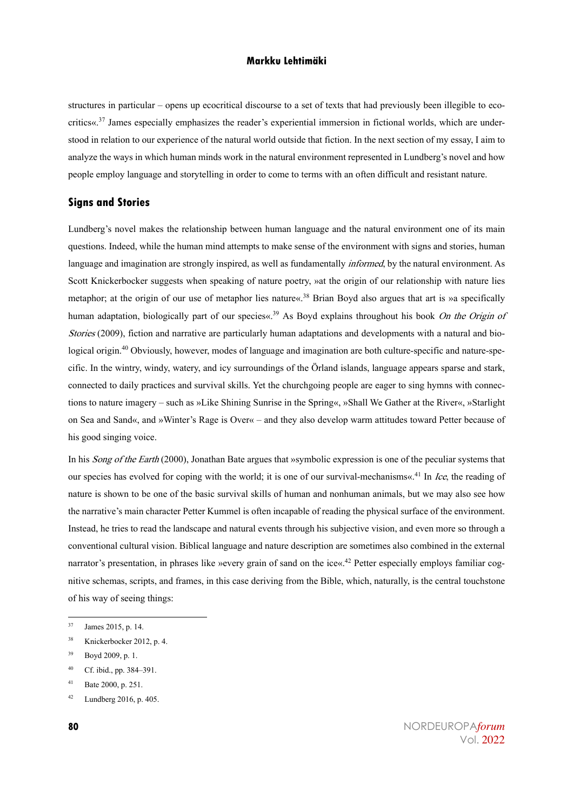structures in particular – opens up ecocritical discourse to a set of texts that had previously been illegible to ecocritics«. $37$  James especially emphasizes the reader's experiential immersion in fictional worlds, which are understood in relation to our experience of the natural world outside that fiction. In the next section of my essay, I aim to analyze the ways in which human minds work in the natural environment represented in Lundberg's novel and how people employ language and storytelling in order to come to terms with an often difficult and resistant nature.

#### **Signs and Stories**

Lundberg's novel makes the relationship between human language and the natural environment one of its main questions. Indeed, while the human mind attempts to make sense of the environment with signs and stories, human language and imagination are strongly inspired, as well as fundamentally *informed*, by the natural environment. As Scott Knickerbocker suggests when speaking of nature poetry, »at the origin of our relationship with nature lies metaphor; at the origin of our use of metaphor lies nature«.<sup>38</sup> Brian Boyd also argues that art is »a specifically human adaptation, biologically part of our species«.<sup>39</sup> As Boyd explains throughout his book On the Origin of Stories (2009), fiction and narrative are particularly human adaptations and developments with a natural and biological origin.<sup>40</sup> Obviously, however, modes of language and imagination are both culture-specific and nature-specific. In the wintry, windy, watery, and icy surroundings of the Örland islands, language appears sparse and stark, connected to daily practices and survival skills. Yet the churchgoing people are eager to sing hymns with connections to nature imagery – such as »Like Shining Sunrise in the Spring«, »Shall We Gather at the River«, »Starlight on Sea and Sand«, and »Winter's Rage is Over« – and they also develop warm attitudes toward Petter because of his good singing voice.

In his *Song of the Earth* (2000), Jonathan Bate argues that »symbolic expression is one of the peculiar systems that our species has evolved for coping with the world; it is one of our survival-mechanisms«.<sup>41</sup> In *Ice*, the reading of nature is shown to be one of the basic survival skills of human and nonhuman animals, but we may also see how the narrative's main character Petter Kummel is often incapable of reading the physical surface of the environment. Instead, he tries to read the landscape and natural events through his subjective vision, and even more so through a conventional cultural vision. Biblical language and nature description are sometimes also combined in the external narrator's presentation, in phrases like »every grain of sand on the ice«.<sup>42</sup> Petter especially employs familiar cognitive schemas, scripts, and frames, in this case deriving from the Bible, which, naturally, is the central touchstone of his way of seeing things:

<sup>37</sup> James 2015, p. 14.

<sup>38</sup> Knickerbocker 2012, p. 4.

<sup>39</sup> Boyd 2009, p. 1.

<sup>40</sup> Cf. ibid., pp. 384–391.

<sup>41</sup> Bate 2000, p. 251.

<sup>42</sup> Lundberg 2016, p. 405.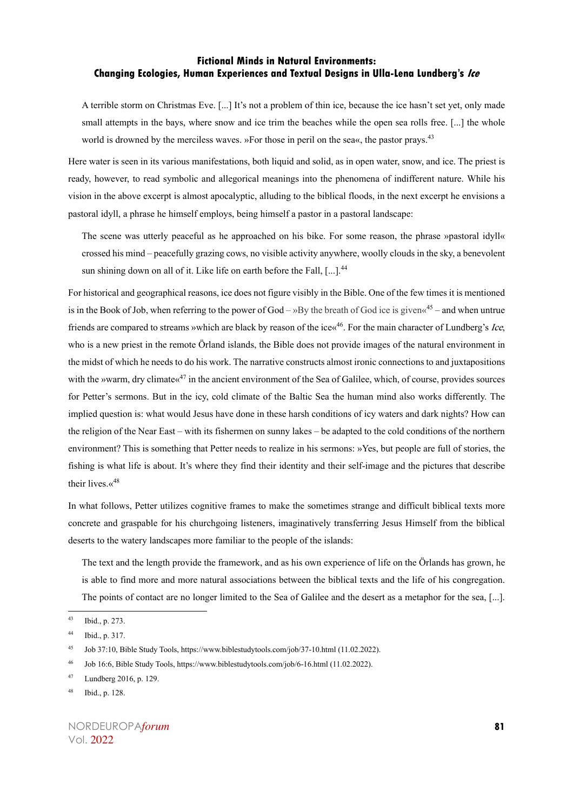A terrible storm on Christmas Eve. [...] It's not a problem of thin ice, because the ice hasn't set yet, only made small attempts in the bays, where snow and ice trim the beaches while the open sea rolls free. [...] the whole world is drowned by the merciless waves. »For those in peril on the sea«, the pastor prays.<sup>43</sup>

Here water is seen in its various manifestations, both liquid and solid, as in open water, snow, and ice. The priest is ready, however, to read symbolic and allegorical meanings into the phenomena of indifferent nature. While his vision in the above excerpt is almost apocalyptic, alluding to the biblical floods, in the next excerpt he envisions a pastoral idyll, a phrase he himself employs, being himself a pastor in a pastoral landscape:

The scene was utterly peaceful as he approached on his bike. For some reason, the phrase »pastoral idyll« crossed his mind – peacefully grazing cows, no visible activity anywhere, woolly clouds in the sky, a benevolent sun shining down on all of it. Like life on earth before the Fall, [...].<sup>44</sup>

For historical and geographical reasons, ice does not figure visibly in the Bible. One of the few times it is mentioned is in the Book of Job, when referring to the power of God – »By the breath of God ice is given« $45$  – and when untrue friends are compared to streams »which are black by reason of the ice«<sup>46</sup>. For the main character of Lundberg's Ice, who is a new priest in the remote Örland islands, the Bible does not provide images of the natural environment in the midst of which he needs to do his work. The narrative constructs almost ironic connections to and juxtapositions with the »warm, dry climate  $x^{47}$  in the ancient environment of the Sea of Galilee, which, of course, provides sources for Petter's sermons. But in the icy, cold climate of the Baltic Sea the human mind also works differently. The implied question is: what would Jesus have done in these harsh conditions of icy waters and dark nights? How can the religion of the Near East – with its fishermen on sunny lakes – be adapted to the cold conditions of the northern environment? This is something that Petter needs to realize in his sermons: »Yes, but people are full of stories, the fishing is what life is about. It's where they find their identity and their self-image and the pictures that describe their lives. $\kappa^{48}$ 

In what follows, Petter utilizes cognitive frames to make the sometimes strange and difficult biblical texts more concrete and graspable for his churchgoing listeners, imaginatively transferring Jesus Himself from the biblical deserts to the watery landscapes more familiar to the people of the islands:

The text and the length provide the framework, and as his own experience of life on the Örlands has grown, he is able to find more and more natural associations between the biblical texts and the life of his congregation. The points of contact are no longer limited to the Sea of Galilee and the desert as a metaphor for the sea, [...].

<sup>43</sup> Ibid., p. 273.

<sup>44</sup> Ibid., p. 317.

<sup>45</sup> Job 37:10, Bible Study Tools, https://www.biblestudytools.com/job/37-10.html (11.02.2022).

<sup>46</sup> Job 16:6, Bible Study Tools, https://www.biblestudytools.com/job/6-16.html (11.02.2022).

<sup>47</sup> Lundberg 2016, p. 129.

<sup>48</sup> Ibid., p. 128.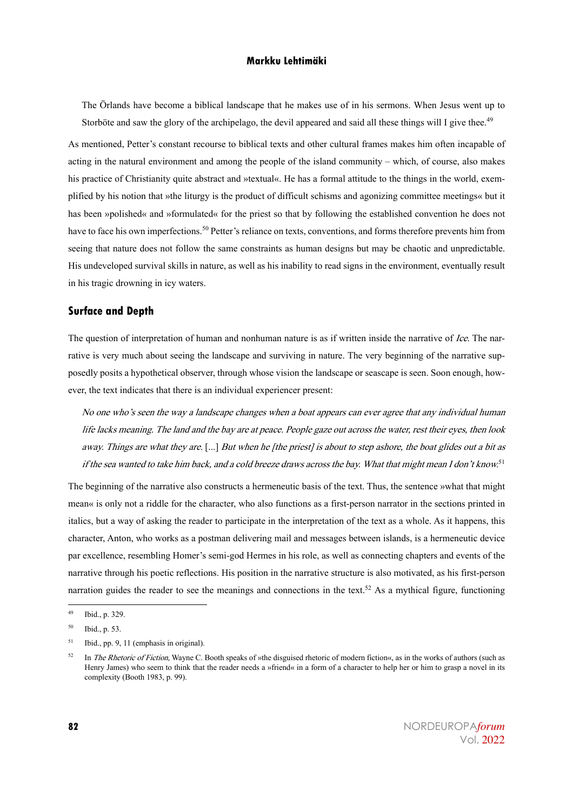The Örlands have become a biblical landscape that he makes use of in his sermons. When Jesus went up to Storböte and saw the glory of the archipelago, the devil appeared and said all these things will I give thee.<sup>49</sup>

As mentioned, Petter's constant recourse to biblical texts and other cultural frames makes him often incapable of acting in the natural environment and among the people of the island community – which, of course, also makes his practice of Christianity quite abstract and »textual«. He has a formal attitude to the things in the world, exemplified by his notion that »the liturgy is the product of difficult schisms and agonizing committee meetings« but it has been »polished« and »formulated« for the priest so that by following the established convention he does not have to face his own imperfections.<sup>50</sup> Petter's reliance on texts, conventions, and forms therefore prevents him from seeing that nature does not follow the same constraints as human designs but may be chaotic and unpredictable. His undeveloped survival skills in nature, as well as his inability to read signs in the environment, eventually result in his tragic drowning in icy waters.

#### **Surface and Depth**

The question of interpretation of human and nonhuman nature is as if written inside the narrative of Ice. The narrative is very much about seeing the landscape and surviving in nature. The very beginning of the narrative supposedly posits a hypothetical observer, through whose vision the landscape or seascape is seen. Soon enough, however, the text indicates that there is an individual experiencer present:

No one who's seen the way a landscape changes when a boat appears can ever agree that any individual human life lacks meaning. The land and the bay are at peace. People gaze out across the water, rest their eyes, then look away. Things are what they are. [...] But when he [the priest] is about to step ashore, the boat glides out a bit as if the sea wanted to take him back, and a cold breeze draws across the bay. What that might mean I don't know.<sup>51</sup>

The beginning of the narrative also constructs a hermeneutic basis of the text. Thus, the sentence »what that might mean« is only not a riddle for the character, who also functions as a first-person narrator in the sections printed in italics, but a way of asking the reader to participate in the interpretation of the text as a whole. As it happens, this character, Anton, who works as a postman delivering mail and messages between islands, is a hermeneutic device par excellence, resembling Homer's semi-god Hermes in his role, as well as connecting chapters and events of the narrative through his poetic reflections. His position in the narrative structure is also motivated, as his first-person narration guides the reader to see the meanings and connections in the text.<sup>52</sup> As a mythical figure, functioning

<sup>49</sup> Ibid., p. 329.

<sup>50</sup> Ibid., p. 53.

 $51$  Ibid., pp. 9, 11 (emphasis in original).

<sup>&</sup>lt;sup>52</sup> In *The Rhetoric of Fiction*, Wayne C. Booth speaks of »the disguised rhetoric of modern fiction«, as in the works of authors (such as Henry James) who seem to think that the reader needs a »friend« in a form of a character to help her or him to grasp a novel in its complexity (Booth 1983, p. 99).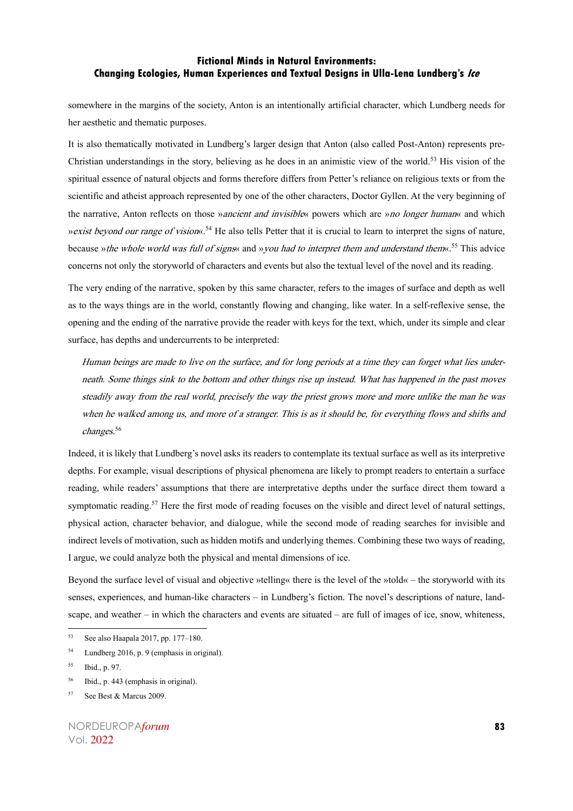somewhere in the margins of the society, Anton is an intentionally artificial character, which Lundberg needs for her aesthetic and thematic purposes.

It is also thematically motivated in Lundberg's larger design that Anton (also called Post-Anton) represents pre-Christian understandings in the story, believing as he does in an animistic view of the world.<sup>53</sup> His vision of the spiritual essence of natural objects and forms therefore differs from Petter's reliance on religious texts or from the scientific and atheist approach represented by one of the other characters, Doctor Gyllen. At the very beginning of the narrative, Anton reflects on those *»ancient and invisible*« powers which are *»no longer human*« and which »exist beyond our range of vision«. <sup>54</sup> He also tells Petter that it is crucial to learn to interpret the signs of nature, because »*the whole world was full of signs*« and »*you had to interpret them and understand them*«.<sup>55</sup> This advice concerns not only the storyworld of characters and events but also the textual level of the novel and its reading.

The very ending of the narrative, spoken by this same character, refers to the images of surface and depth as well as to the ways things are in the world, constantly flowing and changing, like water. In a self-reflexive sense, the opening and the ending of the narrative provide the reader with keys for the text, which, under its simple and clear surface, has depths and undercurrents to be interpreted:

Human beings are made to live on the surface, and for long periods at a time they can forget what lies underneath. Some things sink to the bottom and other things rise up instead. What has happened in the past moves steadily away from the real world, precisely the way the priest grows more and more unlike the man he was when he walked among us, and more of a stranger. This is as it should be, for everything flows and shifts and changes.<sup>56</sup>

Indeed, it is likely that Lundberg's novel asks its readers to contemplate its textual surface as well as its interpretive depths. For example, visual descriptions of physical phenomena are likely to prompt readers to entertain a surface reading, while readers' assumptions that there are interpretative depths under the surface direct them toward a symptomatic reading.<sup>57</sup> Here the first mode of reading focuses on the visible and direct level of natural settings, physical action, character behavior, and dialogue, while the second mode of reading searches for invisible and indirect levels of motivation, such as hidden motifs and underlying themes. Combining these two ways of reading, I argue, we could analyze both the physical and mental dimensions of ice.

Beyond the surface level of visual and objective »telling« there is the level of the »told« – the storyworld with its senses, experiences, and human-like characters – in Lundberg's fiction. The novel's descriptions of nature, landscape, and weather – in which the characters and events are situated – are full of images of ice, snow, whiteness,

<sup>53</sup> See also Haapala 2017, pp. 177–180.

<sup>54</sup> Lundberg 2016, p. 9 (emphasis in original).

<sup>55</sup> Ibid., p. 97.

<sup>56</sup> Ibid., p. 443 (emphasis in original).

<sup>57</sup> See Best & Marcus 2009.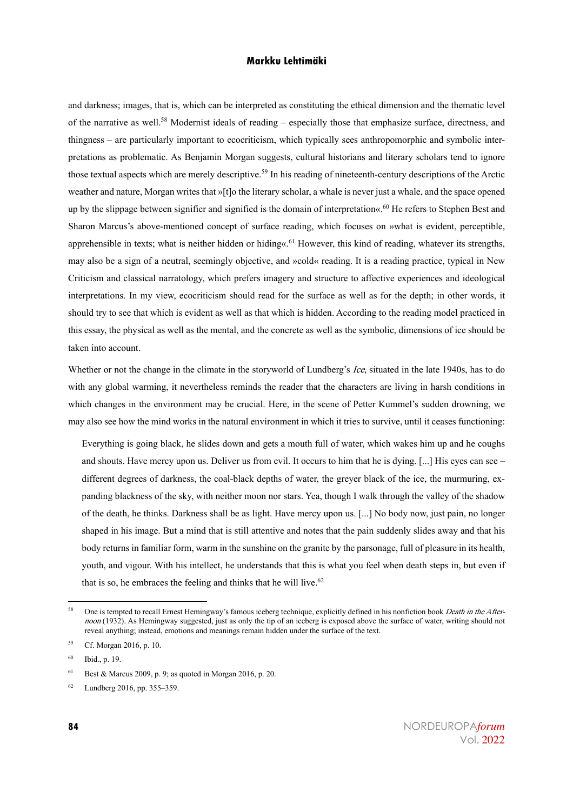and darkness; images, that is, which can be interpreted as constituting the ethical dimension and the thematic level of the narrative as well.<sup>58</sup> Modernist ideals of reading – especially those that emphasize surface, directness, and thingness – are particularly important to ecocriticism, which typically sees anthropomorphic and symbolic interpretations as problematic. As Benjamin Morgan suggests, cultural historians and literary scholars tend to ignore those textual aspects which are merely descriptive.<sup>59</sup> In his reading of nineteenth-century descriptions of the Arctic weather and nature, Morgan writes that »[t]o the literary scholar, a whale is never just a whale, and the space opened up by the slippage between signifier and signified is the domain of interpretation«.<sup>60</sup> He refers to Stephen Best and Sharon Marcus's above-mentioned concept of surface reading, which focuses on »what is evident, perceptible, apprehensible in texts; what is neither hidden or hiding«.<sup>61</sup> However, this kind of reading, whatever its strengths, may also be a sign of a neutral, seemingly objective, and »cold« reading. It is a reading practice, typical in New Criticism and classical narratology, which prefers imagery and structure to affective experiences and ideological interpretations. In my view, ecocriticism should read for the surface as well as for the depth; in other words, it should try to see that which is evident as well as that which is hidden. According to the reading model practiced in this essay, the physical as well as the mental, and the concrete as well as the symbolic, dimensions of ice should be taken into account.

Whether or not the change in the climate in the storyworld of Lundberg's Ice, situated in the late 1940s, has to do with any global warming, it nevertheless reminds the reader that the characters are living in harsh conditions in which changes in the environment may be crucial. Here, in the scene of Petter Kummel's sudden drowning, we may also see how the mind works in the natural environment in which it tries to survive, until it ceases functioning:

Everything is going black, he slides down and gets a mouth full of water, which wakes him up and he coughs and shouts. Have mercy upon us. Deliver us from evil. It occurs to him that he is dying. [...] His eyes can see – different degrees of darkness, the coal-black depths of water, the greyer black of the ice, the murmuring, expanding blackness of the sky, with neither moon nor stars. Yea, though I walk through the valley of the shadow of the death, he thinks. Darkness shall be as light. Have mercy upon us. [...] No body now, just pain, no longer shaped in his image. But a mind that is still attentive and notes that the pain suddenly slides away and that his body returns in familiar form, warm in the sunshine on the granite by the parsonage, full of pleasure in its health, youth, and vigour. With his intellect, he understands that this is what you feel when death steps in, but even if that is so, he embraces the feeling and thinks that he will live.<sup>62</sup>

<sup>&</sup>lt;sup>58</sup> One is tempted to recall Ernest Hemingway's famous iceberg technique, explicitly defined in his nonfiction book *Death in the After*noon (1932). As Hemingway suggested, just as only the tip of an iceberg is exposed above the surface of water, writing should not reveal anything; instead, emotions and meanings remain hidden under the surface of the text.

<sup>59</sup> Cf. Morgan 2016, p. 10.

<sup>60</sup> Ibid., p. 19.

<sup>&</sup>lt;sup>61</sup> Best & Marcus 2009, p. 9; as quoted in Morgan 2016, p. 20.

<sup>62</sup> Lundberg 2016, pp. 355–359.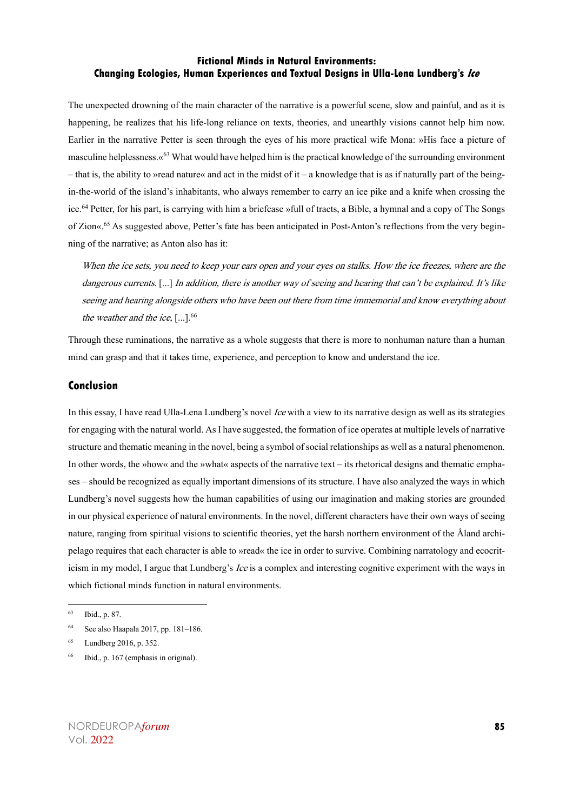The unexpected drowning of the main character of the narrative is a powerful scene, slow and painful, and as it is happening, he realizes that his life-long reliance on texts, theories, and unearthly visions cannot help him now. Earlier in the narrative Petter is seen through the eyes of his more practical wife Mona: »His face a picture of masculine helplessness. $\alpha^{63}$  What would have helped him is the practical knowledge of the surrounding environment  $-$  that is, the ability to »read nature« and act in the midst of it  $-$  a knowledge that is as if naturally part of the beingin-the-world of the island's inhabitants, who always remember to carry an ice pike and a knife when crossing the ice.<sup>64</sup> Petter, for his part, is carrying with him a briefcase »full of tracts, a Bible, a hymnal and a copy of The Songs of Zion«. <sup>65</sup> As suggested above, Petter's fate has been anticipated in Post-Anton's reflections from the very beginning of the narrative; as Anton also has it:

When the ice sets, you need to keep your ears open and your eyes on stalks. How the ice freezes, where are the dangerous currents. [...] In addition, there is another way of seeing and hearing that can't be explained. It's like seeing and hearing alongside others who have been out there from time immemorial and know everything about the weather and the ice,  $[...]$ .<sup>66</sup>

Through these ruminations, the narrative as a whole suggests that there is more to nonhuman nature than a human mind can grasp and that it takes time, experience, and perception to know and understand the ice.

#### **Conclusion**

In this essay, I have read Ulla-Lena Lundberg's novel *Ice* with a view to its narrative design as well as its strategies for engaging with the natural world. As I have suggested, the formation of ice operates at multiple levels of narrative structure and thematic meaning in the novel, being a symbol of social relationships as well as a natural phenomenon. In other words, the »how« and the »what« aspects of the narrative text – its rhetorical designs and thematic emphases – should be recognized as equally important dimensions of its structure. I have also analyzed the ways in which Lundberg's novel suggests how the human capabilities of using our imagination and making stories are grounded in our physical experience of natural environments. In the novel, different characters have their own ways of seeing nature, ranging from spiritual visions to scientific theories, yet the harsh northern environment of the Åland archipelago requires that each character is able to »read« the ice in order to survive. Combining narratology and ecocriticism in my model. I argue that Lundberg's *Ice* is a complex and interesting cognitive experiment with the ways in which fictional minds function in natural environments.

<sup>66</sup> Ibid., p. 167 (emphasis in original).

<sup>63</sup> Ibid., p. 87.

<sup>64</sup> See also Haapala 2017, pp. 181–186.

<sup>65</sup> Lundberg 2016, p. 352.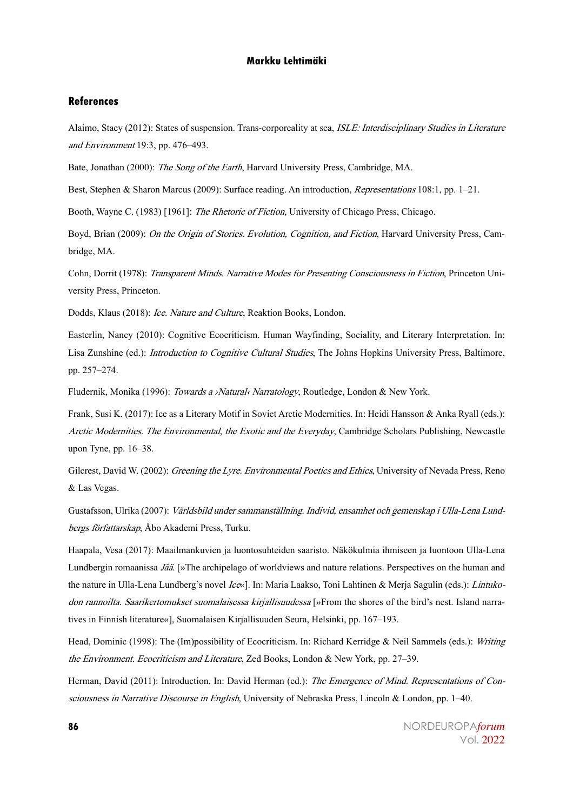#### **References**

Alaimo, Stacy (2012): States of suspension. Trans-corporeality at sea, ISLE: Interdisciplinary Studies in Literature and Environment 19:3, pp. 476–493.

Bate, Jonathan (2000): The Song of the Earth, Harvard University Press, Cambridge, MA.

Best, Stephen & Sharon Marcus (2009): Surface reading. An introduction, Representations 108:1, pp. 1–21.

Booth, Wayne C. (1983) [1961]: *The Rhetoric of Fiction*, University of Chicago Press, Chicago.

Boyd, Brian (2009): On the Origin of Stories. Evolution, Cognition, and Fiction, Harvard University Press, Cambridge, MA.

Cohn, Dorrit (1978): Transparent Minds. Narrative Modes for Presenting Consciousness in Fiction, Princeton University Press, Princeton.

Dodds, Klaus (2018): Ice. Nature and Culture, Reaktion Books, London.

Easterlin, Nancy (2010): Cognitive Ecocriticism. Human Wayfinding, Sociality, and Literary Interpretation. In: Lisa Zunshine (ed.): *Introduction to Cognitive Cultural Studies*, The Johns Hopkins University Press, Baltimore, pp. 257–274.

Fludernik, Monika (1996): Towards a ›Natural‹ Narratology, Routledge, London & New York.

Frank, Susi K. (2017): Ice as a Literary Motif in Soviet Arctic Modernities. In: Heidi Hansson & Anka Ryall (eds.): Arctic Modernities. The Environmental, the Exotic and the Everyday, Cambridge Scholars Publishing, Newcastle upon Tyne, pp. 16–38.

Gilcrest, David W. (2002): Greening the Lyre. Environmental Poetics and Ethics, University of Nevada Press, Reno & Las Vegas.

Gustafsson, Ulrika (2007): Världsbild under sammanställning. Individ, ensamhet och gemenskap i Ulla-Lena Lundbergs författarskap, Åbo Akademi Press, Turku.

Haapala, Vesa (2017): Maailmankuvien ja luontosuhteiden saaristo. Näkökulmia ihmiseen ja luontoon Ulla-Lena Lundbergin romaanissa *Jää*. [»The archipelago of worldviews and nature relations. Perspectives on the human and the nature in Ulla-Lena Lundberg's novel Ice«]. In: Maria Laakso, Toni Lahtinen & Merja Sagulin (eds.): Lintukodon rannoilta. Saarikertomukset suomalaisessa kirjallisuudessa [»From the shores of the bird's nest. Island narratives in Finnish literature«], Suomalaisen Kirjallisuuden Seura, Helsinki, pp. 167–193.

Head, Dominic (1998): The (Im)possibility of Ecocriticism. In: Richard Kerridge & Neil Sammels (eds.): Writing the Environment. Ecocriticism and Literature, Zed Books, London & New York, pp. 27–39.

Herman, David (2011): Introduction. In: David Herman (ed.): The Emergence of Mind. Representations of Consciousness in Narrative Discourse in English, University of Nebraska Press, Lincoln & London, pp. 1–40.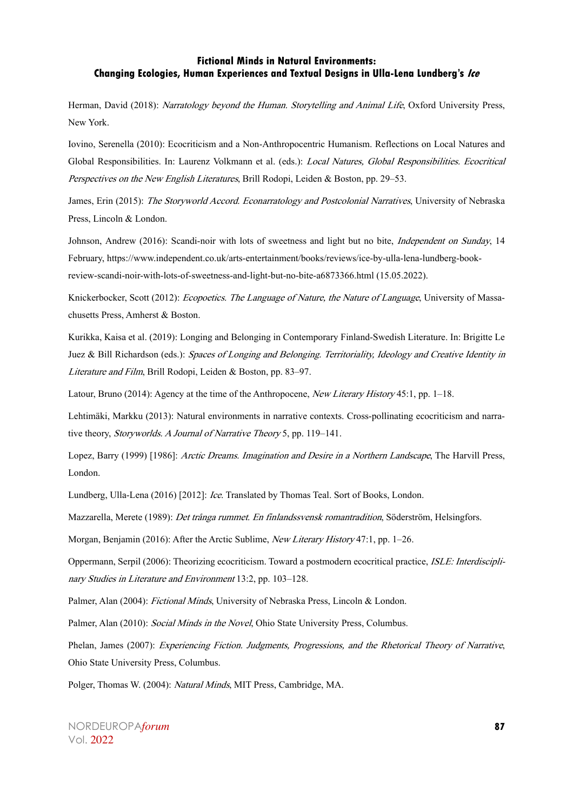Herman, David (2018): Narratology beyond the Human. Storytelling and Animal Life, Oxford University Press, New York.

Iovino, Serenella (2010): Ecocriticism and a Non-Anthropocentric Humanism. Reflections on Local Natures and Global Responsibilities. In: Laurenz Volkmann et al. (eds.): Local Natures, Global Responsibilities. Ecocritical Perspectives on the New English Literatures, Brill Rodopi, Leiden & Boston, pp. 29–53.

James, Erin (2015): The Storyworld Accord. Econarratology and Postcolonial Narratives, University of Nebraska Press, Lincoln & London.

Johnson, Andrew (2016): Scandi-noir with lots of sweetness and light but no bite, *Independent on Sunday*, 14 February, https://www.independent.co.uk/arts-entertainment/books/reviews/ice-by-ulla-lena-lundberg-bookreview-scandi-noir-with-lots-of-sweetness-and-light-but-no-bite-a6873366.html (15.05.2022).

Knickerbocker, Scott (2012): Ecopoetics. The Language of Nature, the Nature of Language, University of Massachusetts Press, Amherst & Boston.

Kurikka, Kaisa et al. (2019): Longing and Belonging in Contemporary Finland-Swedish Literature. In: Brigitte Le Juez & Bill Richardson (eds.): Spaces of Longing and Belonging. Territoriality, Ideology and Creative Identity in Literature and Film, Brill Rodopi, Leiden & Boston, pp. 83–97.

Latour, Bruno (2014): Agency at the time of the Anthropocene, New Literary History 45:1, pp. 1–18.

Lehtimäki, Markku (2013): Natural environments in narrative contexts. Cross-pollinating ecocriticism and narrative theory, Storyworlds. A Journal of Narrative Theory 5, pp. 119–141.

Lopez, Barry (1999) [1986]: Arctic Dreams. Imagination and Desire in a Northern Landscape, The Harvill Press, London.

Lundberg, Ulla-Lena (2016) [2012]: Ice. Translated by Thomas Teal. Sort of Books, London.

Mazzarella, Merete (1989): Det trånga rummet. En finlandssvensk romantradition, Söderström, Helsingfors.

Morgan, Benjamin (2016): After the Arctic Sublime, New Literary History 47:1, pp. 1–26.

Oppermann, Serpil (2006): Theorizing ecocriticism. Toward a postmodern ecocritical practice, ISLE: Interdisciplinary Studies in Literature and Environment 13:2, pp. 103–128.

Palmer, Alan (2004): Fictional Minds, University of Nebraska Press, Lincoln & London.

Palmer, Alan (2010): Social Minds in the Novel, Ohio State University Press, Columbus.

Phelan, James (2007): Experiencing Fiction. Judgments, Progressions, and the Rhetorical Theory of Narrative, Ohio State University Press, Columbus.

Polger, Thomas W. (2004): Natural Minds, MIT Press, Cambridge, MA.